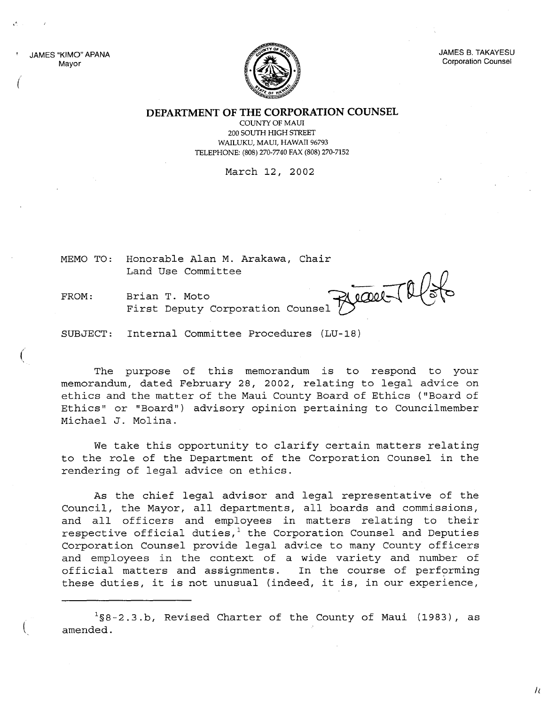JAMES "KIMO" APANA Mayor

"

(

 $\big($ 

 $\overline{\mathcal{L}}$ 



JAMES B. TAKAYESU Corporation Counsel

**DEPARTMENT OF THE CORPORATION COUNSEL**

COUNTY OF MAUl 200 SOUTH HIGH STREET WAILUKU, MAUl, HAWAII 96793 TELEPHONE: (808) 270-7740 FAX (808) 270-7152

March 12, 2002

MEMO TO: Honorable Alan M. Arakawa, Chair

FROM: Brian T. Moto<br>First Deputy Corporation Counsel

Land Use Committee<br>Brian T. Moto<br>Finant P. Moto

SUBJECT: Internal Committee Procedures (LU-18)

The purpose of this memorandum is to respond to your memorandum, dated February 28, 2002, relating to legal advice on ethics and the matter of the Maui County Board of Ethics ("Board of Ethics" or "Board") advisory opinion pertaining to Councilmember Michael J. Molina.

We take this opportunity to clarify certain matters relating to the role of the Department of the Corporation Counsel in the rendering of legal advice on ethics.

As the chief legal advisor and legal representative of the Council, the Mayor, all departments, all boards and commissions, and all officers and employees in matters relating to their respective official duties, $1$  the Corporation Counsel and Deputies Corporation Counsel provide legal advice to many County officers and employees in the context of a wide variety and number of official matters and assignments. In the course of performing these duties, it is not unusual (indeed, it is, in our experience,

 $1$ §8-2.3.b, Revised Charter of the County of Maui (1983), as amended.

 $\mu$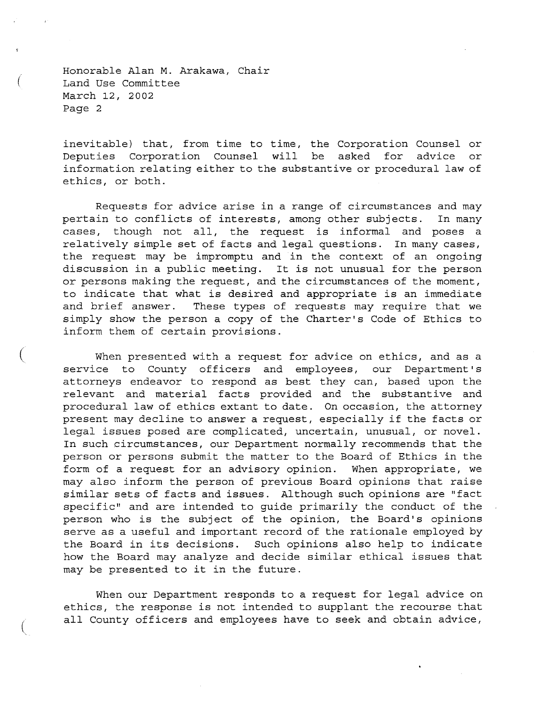Honorable Alan M. Arakawa, Chair Land Use Committee March 12, 2002 Page 2

(

(

(

inevitable) that, from time to time, the Corporation Counsel or Deputies Corporation Counsel will be asked for advice or information relating either to the substantive or procedural law of ethics, or both.

Requests for advice arise in a range of circumstances and may pertain to conflicts of interests, among other subjects. In many cases, though not all, the request is informal and poses <sup>a</sup> relatively simple set of facts and legal questions. In many cases, the request may be impromptu and in the context of an ongoing discussion in <sup>a</sup> public meeting. It is not unusual for the person or persons making the request, and the circumstances of the moment, to indicate that what is desired and appropriate is an immediate and brief answer. These types of requests may require that we simply show the person a copy of the Charter's Code of Ethics to inform them of certain provisions.

When presented with a request for advice on ethics, and as a service to County officers and employees, our Department's attorneys endeavor to respond as best they can, based upon the relevant and material facts provided and the substantive and procedural law of ethics extant to date. On occasion, the attorney present may decline to answer <sup>a</sup> request, especially if the facts or legal issues posed are complicated, uncertain, unusual, or novel. In such circumstances, our Department normally recommends that the person or persons submit the matter to the Board of Ethics in the form of a request for an advisory opinion. When appropriate, we may also inform the person of previous Board opinions that raise similar sets of facts and issues. Although such opinions are "fact specific" and are intended to guide primarily the conduct of the person who is the subject of the opinion, the Board's opinions serve as a useful and important record of the rationale employed by the Board in its decisions. Such opinions also help to indicate how the Board may analyze and decide similar ethical issues that may be presented to it in the future.

When our Department responds to a request for legal advice on ethics, the response is not intended to supplant the recourse that all County officers and employees have to seek and obtain advice,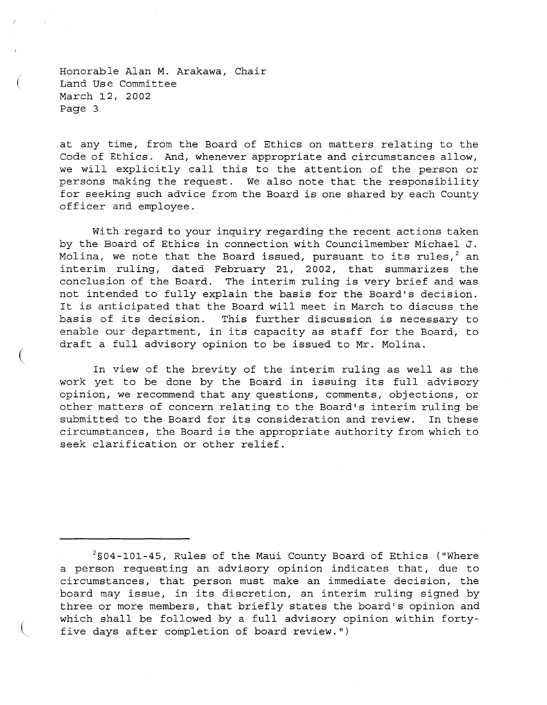Honorable Alan M. Arakawa, Chair Land Use Committee March 12, 2002 Page 3

(

(

(

at any time, from the Board of Ethics on matters relating to the Code of Ethics. And, whenever appropriate and circumstances allow, we will explicitly call this to the attention of the person or persons making the request. We also note that the responsibility for seeking such advice from the Board is one shared by each County officer and employee.

With regard to your inquiry regarding the recent actions taken by the Board of Ethics in connection with Councilmember Michael J. Molina, we note that the Board issued, pursuant to its rules,  $2$  an interim ruling, dated February 21, 2002, that summarizes the conclusion of the Board. The interim ruling is very brief and was not intended to fully explain the basis for the Board's decision. It is anticipated that the Board will meet in March to discuss the basis of its decision. This further discussion is necessary to enable our department, in its capacity as staff for the Board, to draft <sup>a</sup> full advisory opinion to be issued to Mr. Molina.

In view of the brevity of the interim ruling as well as the work yet to be done by the Board in issuing its full advisory *opinion <sup>l</sup>* we recommend that any questions, comments, objections, or other matters of concern relating to the Board's interim ruling be submitted to the Board for its consideration and review. In these circumstances, the Board is the appropriate authority from which to seek clarification or other relief.

 $2$ §04-101-45, Rules of the Maui County Board of Ethics ("Where <sup>a</sup> person requesting an advisory opinion indicates that, due to circumstances, that person must make an immediate decision, the board may issue, in its discretion, an interim ruling signed by three or more members, that briefly states the board's opinion and which shall be followed by <sup>a</sup> full advisory opinion within fortyfive days after completion of board review.")